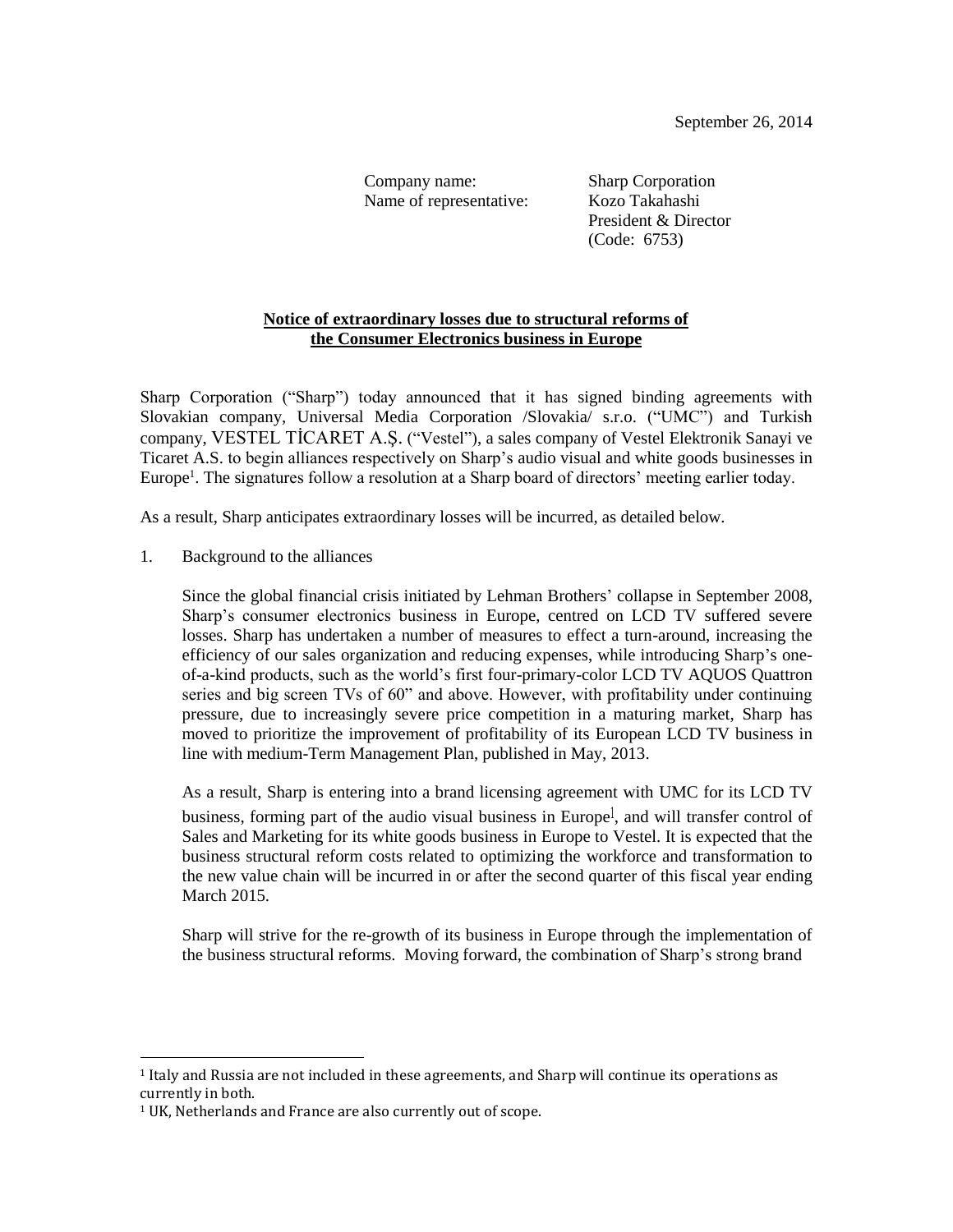Company name: Sharp Corporation Name of representative: Kozo Takahashi

President & Director (Code: 6753)

# **Notice of extraordinary losses due to structural reforms of the Consumer Electronics business in Europe**

Sharp Corporation ("Sharp") today announced that it has signed binding agreements with Slovakian company, Universal Media Corporation /Slovakia/ s.r.o. ("UMC") and Turkish company, VESTEL TİCARET A.Ş. ("Vestel"), a sales company of Vestel Elektronik Sanayi ve Ticaret A.S. to begin alliances respectively on Sharp's audio visual and white goods businesses in Europe<sup>1</sup>. The signatures follow a resolution at a Sharp board of directors' meeting earlier today.

As a result, Sharp anticipates extraordinary losses will be incurred, as detailed below.

1. Background to the alliances

Since the global financial crisis initiated by Lehman Brothers' collapse in September 2008, Sharp's consumer electronics business in Europe, centred on LCD TV suffered severe losses. Sharp has undertaken a number of measures to effect a turn-around, increasing the efficiency of our sales organization and reducing expenses, while introducing Sharp's oneof-a-kind products, such as the world's first four-primary-color LCD TV AQUOS Quattron series and big screen TVs of 60" and above. However, with profitability under continuing pressure, due to increasingly severe price competition in a maturing market, Sharp has moved to prioritize the improvement of profitability of its European LCD TV business in line with medium-Term Management Plan, published in May, 2013.

As a result, Sharp is entering into a brand licensing agreement with UMC for its LCD TV business, forming part of the audio visual business in Europe<sup>1</sup>, and will transfer control of Sales and Marketing for its white goods business in Europe to Vestel. It is expected that the business structural reform costs related to optimizing the workforce and transformation to the new value chain will be incurred in or after the second quarter of this fiscal year ending March 2015.

Sharp will strive for the re-growth of its business in Europe through the implementation of the business structural reforms. Moving forward, the combination of Sharp's strong brand

 $\overline{\phantom{a}}$ 

<sup>1</sup> Italy and Russia are not included in these agreements, and Sharp will continue its operations as currently in both.

<sup>&</sup>lt;sup>1</sup> UK, Netherlands and France are also currently out of scope.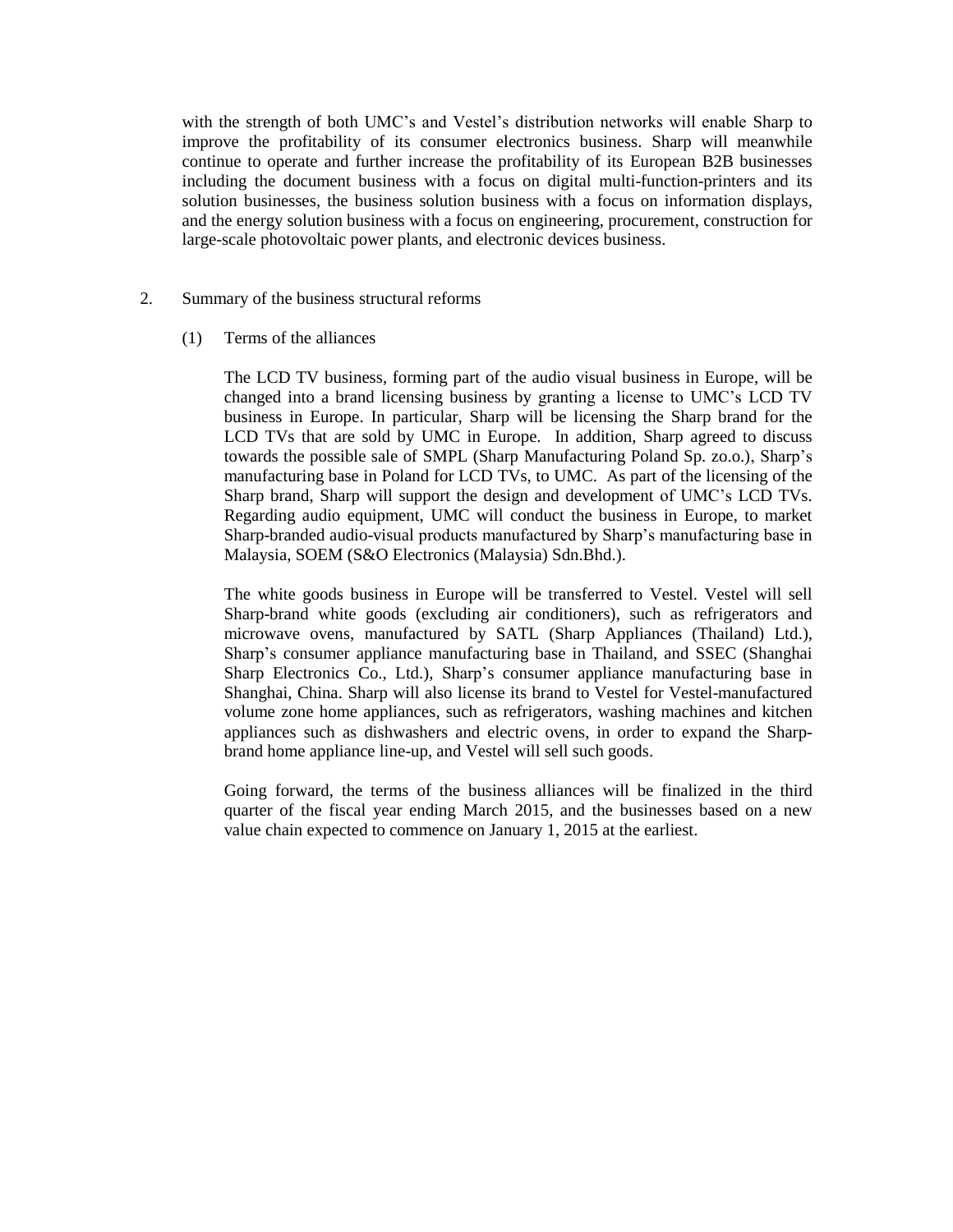with the strength of both UMC's and Vestel's distribution networks will enable Sharp to improve the profitability of its consumer electronics business. Sharp will meanwhile continue to operate and further increase the profitability of its European B2B businesses including the document business with a focus on digital multi-function-printers and its solution businesses, the business solution business with a focus on information displays, and the energy solution business with a focus on engineering, procurement, construction for large-scale photovoltaic power plants, and electronic devices business.

## 2. Summary of the business structural reforms

## (1) Terms of the alliances

The LCD TV business, forming part of the audio visual business in Europe, will be changed into a brand licensing business by granting a license to UMC's LCD TV business in Europe. In particular, Sharp will be licensing the Sharp brand for the LCD TVs that are sold by UMC in Europe. In addition, Sharp agreed to discuss towards the possible sale of SMPL (Sharp Manufacturing Poland Sp. zo.o.), Sharp's manufacturing base in Poland for LCD TVs, to UMC. As part of the licensing of the Sharp brand, Sharp will support the design and development of UMC's LCD TVs. Regarding audio equipment, UMC will conduct the business in Europe, to market Sharp-branded audio-visual products manufactured by Sharp's manufacturing base in Malaysia, SOEM (S&O Electronics (Malaysia) Sdn.Bhd.).

The white goods business in Europe will be transferred to Vestel. Vestel will sell Sharp-brand white goods (excluding air conditioners), such as refrigerators and microwave ovens, manufactured by SATL (Sharp Appliances (Thailand) Ltd.), Sharp's consumer appliance manufacturing base in Thailand, and SSEC (Shanghai Sharp Electronics Co., Ltd.), Sharp's consumer appliance manufacturing base in Shanghai, China. Sharp will also license its brand to Vestel for Vestel-manufactured volume zone home appliances, such as refrigerators, washing machines and kitchen appliances such as dishwashers and electric ovens, in order to expand the Sharpbrand home appliance line-up, and Vestel will sell such goods.

Going forward, the terms of the business alliances will be finalized in the third quarter of the fiscal year ending March 2015, and the businesses based on a new value chain expected to commence on January 1, 2015 at the earliest.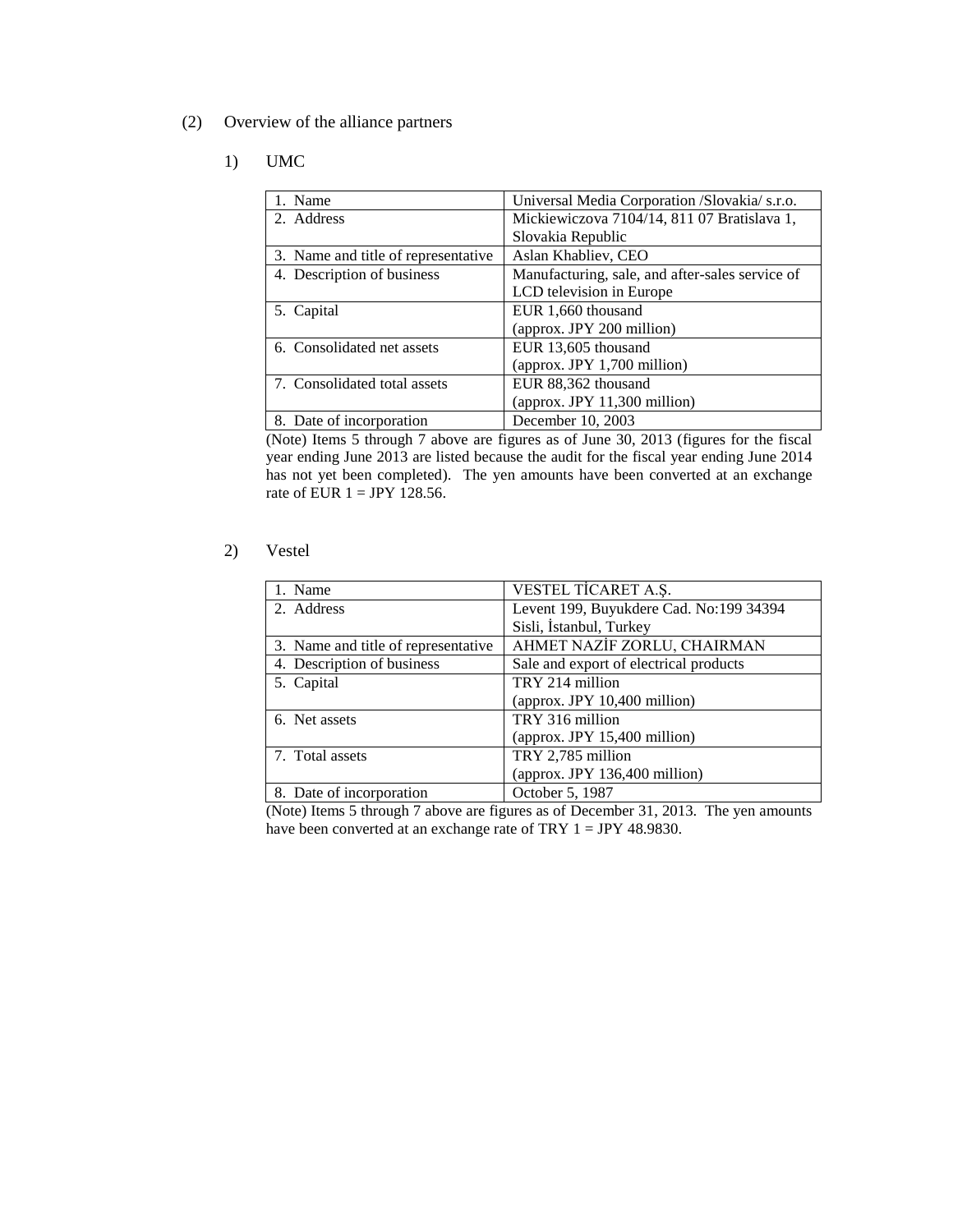(2) Overview of the alliance partners

#### 1) UMC

| 1. Name                             | Universal Media Corporation /Slovakia/ s.r.o.   |
|-------------------------------------|-------------------------------------------------|
| 2. Address                          | Mickiewiczova 7104/14, 811 07 Bratislava 1,     |
|                                     | Slovakia Republic                               |
| 3. Name and title of representative | Aslan Khabliev, CEO                             |
| 4. Description of business          | Manufacturing, sale, and after-sales service of |
|                                     | LCD television in Europe                        |
| 5. Capital                          | EUR 1,660 thousand                              |
|                                     | (approx. JPY 200 million)                       |
| 6. Consolidated net assets          | EUR 13,605 thousand                             |
|                                     | (approx. JPY 1,700 million)                     |
| 7. Consolidated total assets        | EUR 88,362 thousand                             |
|                                     | (approx. JPY 11,300 million)                    |
| 8. Date of incorporation            | December 10, 2003                               |

(Note) Items 5 through 7 above are figures as of June 30, 2013 (figures for the fiscal year ending June 2013 are listed because the audit for the fiscal year ending June 2014 has not yet been completed). The yen amounts have been converted at an exchange rate of EUR  $1 = JPY$  128.56.

#### 2) Vestel

| 1. Name                             | VESTEL TICARET A.S.                     |
|-------------------------------------|-----------------------------------------|
| 2. Address                          | Levent 199, Buyukdere Cad. No:199 34394 |
|                                     | Sisli, İstanbul, Turkey                 |
| 3. Name and title of representative | AHMET NAZİF ZORLU, CHAIRMAN             |
| 4. Description of business          | Sale and export of electrical products  |
| 5. Capital                          | TRY 214 million                         |
|                                     | (approx. JPY 10,400 million)            |
| 6. Net assets                       | TRY 316 million                         |
|                                     | (approx. JPY 15,400 million)            |
| 7. Total assets                     | TRY 2,785 million                       |
|                                     | (approx. JPY 136,400 million)           |
| 8. Date of incorporation            | October 5, 1987                         |

(Note) Items 5 through 7 above are figures as of December 31, 2013. The yen amounts have been converted at an exchange rate of TRY 1 = JPY 48.9830.